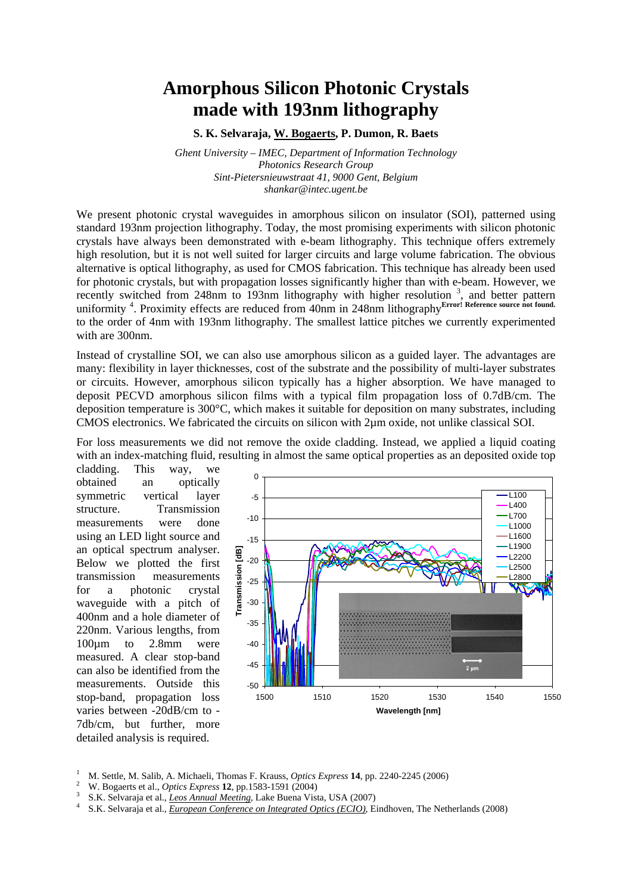## **Amorphous Silicon Photonic Crystals made with 193nm lithography**

**S. K. Selvaraja, W. Bogaerts, P. Dumon, R. Baets** 

*Ghent University – IMEC, Department of Information Technology Photonics Research Group Sint-Pietersnieuwstraat 41, 9000 Gent, Belgium shankar@intec.ugent.be* 

We present photonic crystal waveguides in amorphous silicon on insulator (SOI), patterned using standard 193nm projection lithography. Today, the most promising experiments with silicon photonic crystals have always been demonstrated with e-beam lithography. This technique offers extremely high resolution, but it is not well suited for larger circuits and large volume fabrication. The obvious alternative is optical lithography, as used for CMOS fabrication. This technique has already been used for photonic crystals, but with propagation losses significantly higher than with e-beam. However, we recently switched from 248nm to 193nm lithography with higher resolution<sup>3</sup>, and better pattern uniformity<sup>4</sup>. Proximity effects are reduced from 40nm in 248nm lithography<sup>Error! Reference source not found.</sup> to the order of 4nm with 193nm lithography. The smallest lattice pitches we currently experimented with are 300nm.

Instead of crystalline SOI, we can also use amorphous silicon as a guided layer. The advantages are many: flexibility in layer thicknesses, cost of the substrate and the possibility of multi-layer substrates or circuits. However, amorphous silicon typically has a higher absorption. We have managed to deposit PECVD amorphous silicon films with a typical film propagation loss of 0.7dB/cm. The deposition temperature is 300°C, which makes it suitable for deposition on many substrates, including CMOS electronics. We fabricated the circuits on silicon with 2µm oxide, not unlike classical SOI.

For loss measurements we did not remove the oxide cladding. Instead, we applied a liquid coating with an index-matching fluid, resulting in almost the same optical properties as an deposited oxide top

cladding. This way, we obtained an optically symmetric vertical layer structure. Transmission measurements were done using an LED light source and an optical spectrum analyser. Below we plotted the first transmission measurements for a photonic crystal waveguide with a pitch of 400nm and a hole diameter of 220nm. Various lengths, from 100µm to 2.8mm were measured. A clear stop-band can also be identified from the measurements. Outside this stop-band, propagation loss varies between -20dB/cm to - 7db/cm, but further, more detailed analysis is required.



- 
- 
- M. Settle, M. Salib, A. Michaeli, Thomas F. Krauss, *Optics Express* **14**, pp. 2240-2245 (2006)<br>W. Bogaerts et al., *Optics Express* **12**, pp.1583-1591 (2004)<br>S.K. Selvaraja et al., *Leos Annual Meeting*, Lake Buena Vista,